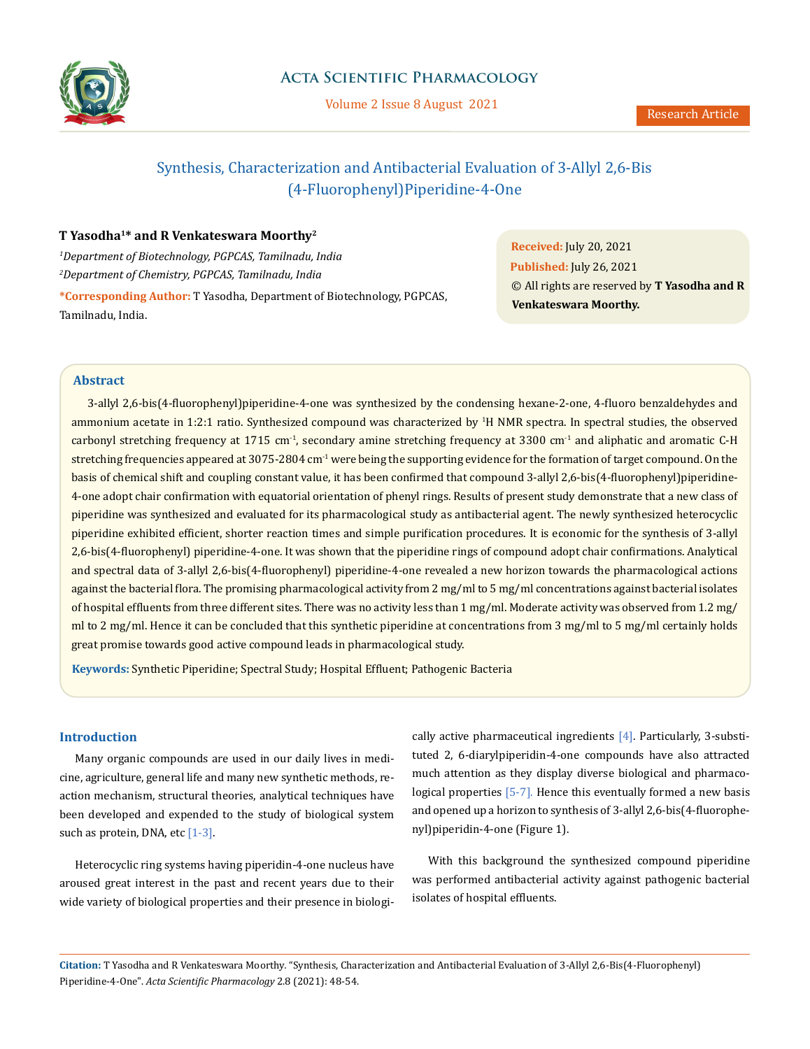

# **Acta Scientific Pharmacology**

Volume 2 Issue 8 August 2021

# Synthesis, Characterization and Antibacterial Evaluation of 3-Allyl 2,6-Bis (4-Fluorophenyl)Piperidine-4-One

### **T Yasodha1\* and R Venkateswara Moorthy2**

*1 Department of Biotechnology, PGPCAS, Tamilnadu, India 2 Department of Chemistry, PGPCAS, Tamilnadu, India* **\*Corresponding Author:** T Yasodha, Department of Biotechnology, PGPCAS, Tamilnadu, India.

**Received:** July 20, 2021 **Published:** July 26, 2021 © All rights are reserved by **T Yasodha and R Venkateswara Moorthy.**

### **Abstract**

3-allyl 2,6-bis(4-fluorophenyl)piperidine-4-one was synthesized by the condensing hexane-2-one, 4-fluoro benzaldehydes and ammonium acetate in 1:2:1 ratio. Synthesized compound was characterized by <sup>1</sup>H NMR spectra. In spectral studies, the observed carbonyl stretching frequency at 1715 cm<sup>-1</sup>, secondary amine stretching frequency at 3300 cm<sup>-1</sup> and aliphatic and aromatic C-H stretching frequencies appeared at 3075-2804 cm<sup>-1</sup> were being the supporting evidence for the formation of target compound. On the basis of chemical shift and coupling constant value, it has been confirmed that compound 3-allyl 2,6-bis(4-fluorophenyl)piperidine-4-one adopt chair confirmation with equatorial orientation of phenyl rings. Results of present study demonstrate that a new class of piperidine was synthesized and evaluated for its pharmacological study as antibacterial agent. The newly synthesized heterocyclic piperidine exhibited efficient, shorter reaction times and simple purification procedures. It is economic for the synthesis of 3-allyl 2,6-bis(4-fluorophenyl) piperidine-4-one. It was shown that the piperidine rings of compound adopt chair confirmations. Analytical and spectral data of 3-allyl 2,6-bis(4-fluorophenyl) piperidine-4-one revealed a new horizon towards the pharmacological actions against the bacterial flora. The promising pharmacological activity from 2 mg/ml to 5 mg/ml concentrations against bacterial isolates of hospital effluents from three different sites. There was no activity less than 1 mg/ml. Moderate activity was observed from 1.2 mg/ ml to 2 mg/ml. Hence it can be concluded that this synthetic piperidine at concentrations from 3 mg/ml to 5 mg/ml certainly holds great promise towards good active compound leads in pharmacological study.

**Keywords:** Synthetic Piperidine; Spectral Study; Hospital Effluent; Pathogenic Bacteria

### **Introduction**

Many organic compounds are used in our daily lives in medicine, agriculture, general life and many new synthetic methods, reaction mechanism, structural theories, analytical techniques have been developed and expended to the study of biological system such as protein, DNA, etc  $[1-3]$ .

Heterocyclic ring systems having piperidin-4-one nucleus have aroused great interest in the past and recent years due to their wide variety of biological properties and their presence in biologically active pharmaceutical ingredients [4]. Particularly, 3-substituted 2, 6-diarylpiperidin-4-one compounds have also attracted much attention as they display diverse biological and pharmacological properties [5-7]. Hence this eventually formed a new basis and opened up a horizon to synthesis of 3-allyl 2,6-bis(4-fluorophenyl)piperidin-4-one (Figure 1).

With this background the synthesized compound piperidine was performed antibacterial activity against pathogenic bacterial isolates of hospital effluents.

**Citation:** T Yasodha and R Venkateswara Moorthy*.* "Synthesis, Characterization and Antibacterial Evaluation of 3-Allyl 2,6-Bis(4-Fluorophenyl) Piperidine-4-One". *Acta Scientific Pharmacology* 2.8 (2021): 48-54.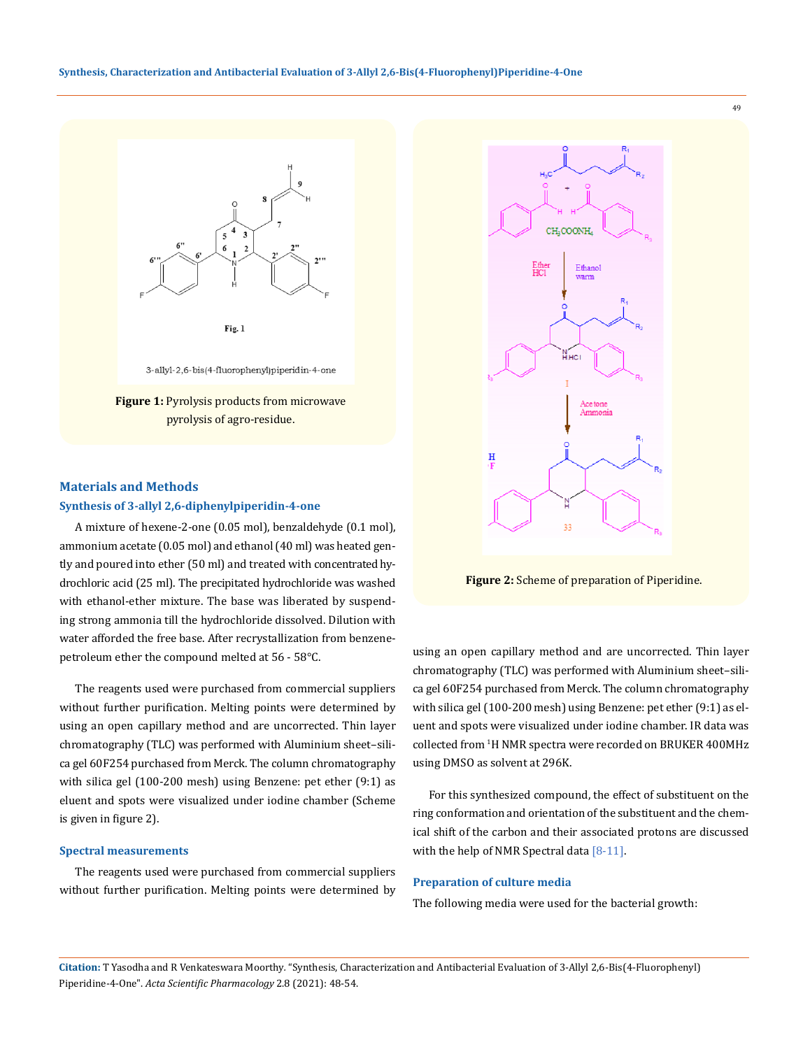

Fig. 1

3-allyl-2,6-bis(4-fluorophenyl)piperidin-4-one

**Figure 1:** Pyrolysis products from microwave pyrolysis of agro-residue.

### **Materials and Methods**

#### **Synthesis of 3-allyl 2,6-diphenylpiperidin-4-one**

A mixture of hexene-2-one (0.05 mol), benzaldehyde (0.1 mol), ammonium acetate (0.05 mol) and ethanol (40 ml) was heated gently and poured into ether (50 ml) and treated with concentrated hydrochloric acid (25 ml). The precipitated hydrochloride was washed with ethanol-ether mixture. The base was liberated by suspending strong ammonia till the hydrochloride dissolved. Dilution with water afforded the free base. After recrystallization from benzenepetroleum ether the compound melted at 56 - 58°C.

The reagents used were purchased from commercial suppliers without further purification. Melting points were determined by using an open capillary method and are uncorrected. Thin layer chromatography (TLC) was performed with Aluminium sheet–silica gel 60F254 purchased from Merck. The column chromatography with silica gel (100-200 mesh) using Benzene: pet ether (9:1) as eluent and spots were visualized under iodine chamber (Scheme is given in figure 2).

#### **Spectral measurements**

The reagents used were purchased from commercial suppliers without further purification. Melting points were determined by



**Figure 2:** Scheme of preparation of Piperidine.

using an open capillary method and are uncorrected. Thin layer chromatography (TLC) was performed with Aluminium sheet–silica gel 60F254 purchased from Merck. The column chromatography with silica gel (100-200 mesh) using Benzene: pet ether (9:1) as eluent and spots were visualized under iodine chamber. IR data was collected from 1 H NMR spectra were recorded on BRUKER 400MHz using DMSO as solvent at 296K.

For this synthesized compound, the effect of substituent on the ring conformation and orientation of the substituent and the chemical shift of the carbon and their associated protons are discussed with the help of NMR Spectral data [8-11].

### **Preparation of culture media**

The following media were used for the bacterial growth:

**Citation:** T Yasodha and R Venkateswara Moorthy*.* "Synthesis, Characterization and Antibacterial Evaluation of 3-Allyl 2,6-Bis(4-Fluorophenyl) Piperidine-4-One". *Acta Scientific Pharmacology* 2.8 (2021): 48-54.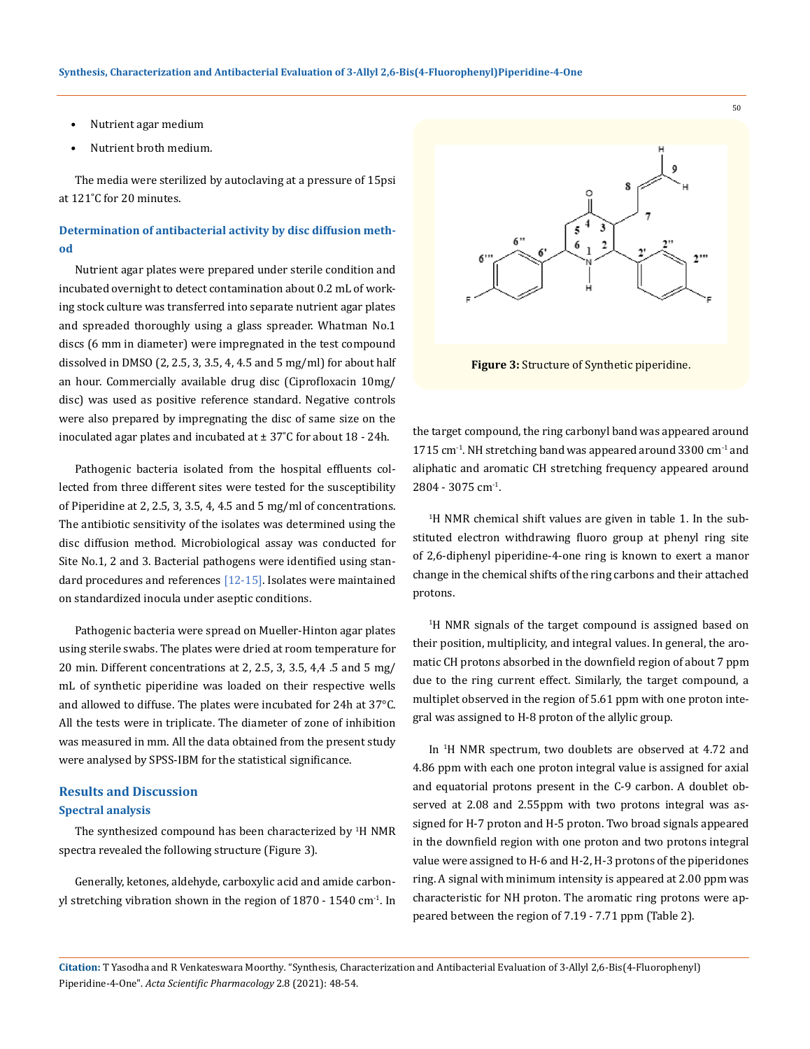- Nutrient agar medium
- Nutrient broth medium.

The media were sterilized by autoclaving at a pressure of 15psi at 121˚C for 20 minutes.

# **Determination of antibacterial activity by disc diffusion method**

Nutrient agar plates were prepared under sterile condition and incubated overnight to detect contamination about 0.2 mL of working stock culture was transferred into separate nutrient agar plates and spreaded thoroughly using a glass spreader. Whatman No.1 discs (6 mm in diameter) were impregnated in the test compound dissolved in DMSO (2, 2.5, 3, 3.5, 4, 4.5 and 5 mg/ml) for about half an hour. Commercially available drug disc (Ciprofloxacin 10mg/ disc) was used as positive reference standard. Negative controls were also prepared by impregnating the disc of same size on the inoculated agar plates and incubated at  $\pm$  37°C for about 18 - 24h.

Pathogenic bacteria isolated from the hospital effluents collected from three different sites were tested for the susceptibility of Piperidine at 2, 2.5, 3, 3.5, 4, 4.5 and 5 mg/ml of concentrations. The antibiotic sensitivity of the isolates was determined using the disc diffusion method. Microbiological assay was conducted for Site No.1, 2 and 3. Bacterial pathogens were identified using standard procedures and references [12-15]. Isolates were maintained on standardized inocula under aseptic conditions.

Pathogenic bacteria were spread on Mueller-Hinton agar plates using sterile swabs. The plates were dried at room temperature for 20 min. Different concentrations at 2, 2.5, 3, 3.5, 4,4 .5 and 5 mg/ mL of synthetic piperidine was loaded on their respective wells and allowed to diffuse. The plates were incubated for 24h at 37°C. All the tests were in triplicate. The diameter of zone of inhibition was measured in mm. All the data obtained from the present study were analysed by SPSS-IBM for the statistical significance.

### **Results and Discussion**

#### **Spectral analysis**

The synthesized compound has been characterized by <sup>1</sup>H NMR spectra revealed the following structure (Figure 3).

Generally, ketones, aldehyde, carboxylic acid and amide carbonyl stretching vibration shown in the region of  $1870 - 1540$  cm<sup>-1</sup>. In



**Figure 3:** Structure of Synthetic piperidine.

the target compound, the ring carbonyl band was appeared around 1715 cm<sup>-1</sup>. NH stretching band was appeared around 3300 cm<sup>-1</sup> and aliphatic and aromatic CH stretching frequency appeared around 2804 - 3075 cm-1.

1 H NMR chemical shift values are given in table 1. In the substituted electron withdrawing fluoro group at phenyl ring site of 2,6-diphenyl piperidine-4-one ring is known to exert a manor change in the chemical shifts of the ring carbons and their attached protons.

1 H NMR signals of the target compound is assigned based on their position, multiplicity, and integral values. In general, the aromatic CH protons absorbed in the downfield region of about 7 ppm due to the ring current effect. Similarly, the target compound, a multiplet observed in the region of 5.61 ppm with one proton integral was assigned to H-8 proton of the allylic group.

In <sup>1</sup> H NMR spectrum, two doublets are observed at 4.72 and 4.86 ppm with each one proton integral value is assigned for axial and equatorial protons present in the C-9 carbon. A doublet observed at 2.08 and 2.55ppm with two protons integral was assigned for H-7 proton and H-5 proton. Two broad signals appeared in the downfield region with one proton and two protons integral value were assigned to H-6 and H-2, H-3 protons of the piperidones ring. A signal with minimum intensity is appeared at 2.00 ppm was characteristic for NH proton. The aromatic ring protons were appeared between the region of 7.19 - 7.71 ppm (Table 2).

**Citation:** T Yasodha and R Venkateswara Moorthy*.* "Synthesis, Characterization and Antibacterial Evaluation of 3-Allyl 2,6-Bis(4-Fluorophenyl) Piperidine-4-One". *Acta Scientific Pharmacology* 2.8 (2021): 48-54.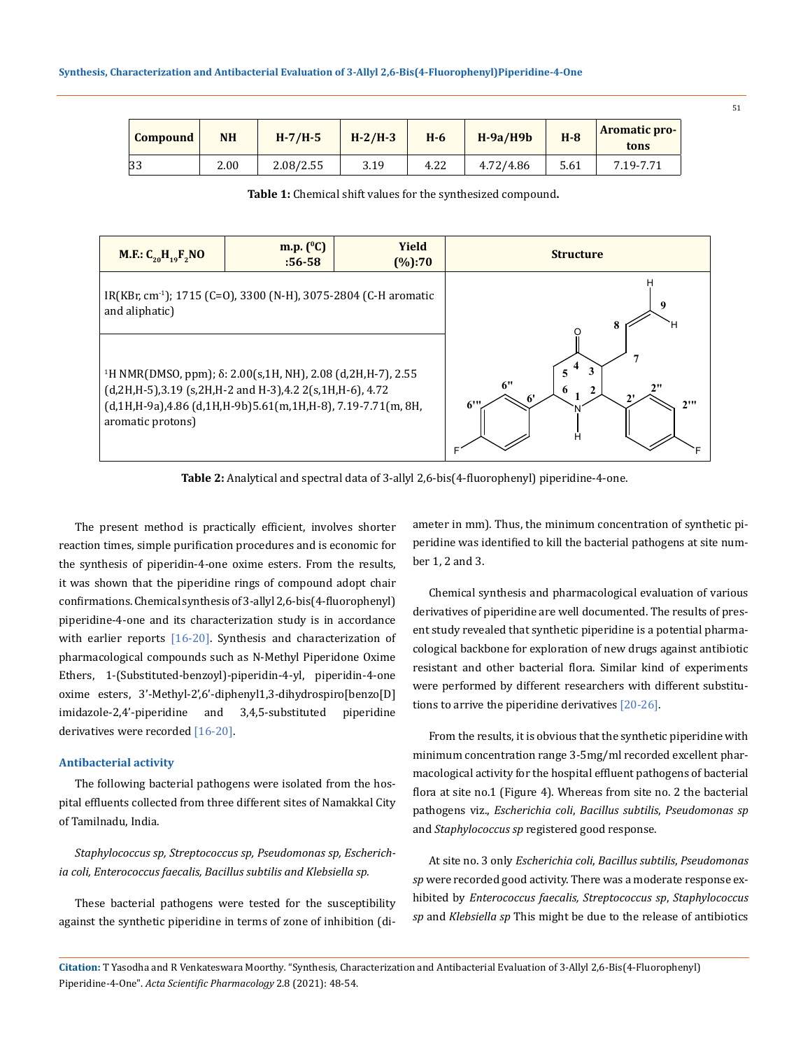| <b>Compound</b> | NΗ   | $H-7/H-5$ | $H-2/H-3$ | $H-6$ | $H-9a/H9b$ | $H-8$ | <b>Aromatic pro-</b><br>tons |
|-----------------|------|-----------|-----------|-------|------------|-------|------------------------------|
| 33              | 2.00 | 2.08/2.55 | 3.19      | 4.22  | 4.72/4.86  | 5.61  | 7.19-7.71                    |

**Table 1:** Chemical shift values for the synthesized compound**.**



**Table 2:** Analytical and spectral data of 3-allyl 2,6-bis(4-fluorophenyl) piperidine-4-one.

The present method is practically efficient, involves shorter reaction times, simple purification procedures and is economic for the synthesis of piperidin-4-one oxime esters. From the results, it was shown that the piperidine rings of compound adopt chair confirmations. Chemical synthesis of 3-allyl 2,6-bis(4-fluorophenyl) piperidine-4-one and its characterization study is in accordance with earlier reports [16-20]. Synthesis and characterization of pharmacological compounds such as N-Methyl Piperidone Oxime Ethers, 1-(Substituted-benzoyl)-piperidin-4-yl, piperidin-4-one oxime esters, 3'-Methyl-2',6'-diphenyl1,3-dihydrospiro[benzo[D] imidazole-2,4'-piperidine and 3,4,5-substituted piperidine derivatives were recorded [16-20].

### **Antibacterial activity**

The following bacterial pathogens were isolated from the hospital effluents collected from three different sites of Namakkal City of Tamilnadu, India.

*Staphylococcus sp, Streptococcus sp, Pseudomonas sp, Escherichia coli, Enterococcus faecalis, Bacillus subtilis and Klebsiella sp.*

These bacterial pathogens were tested for the susceptibility against the synthetic piperidine in terms of zone of inhibition (diameter in mm). Thus, the minimum concentration of synthetic piperidine was identified to kill the bacterial pathogens at site number 1, 2 and 3.

Chemical synthesis and pharmacological evaluation of various derivatives of piperidine are well documented. The results of present study revealed that synthetic piperidine is a potential pharmacological backbone for exploration of new drugs against antibiotic resistant and other bacterial flora. Similar kind of experiments were performed by different researchers with different substitutions to arrive the piperidine derivatives [20-26].

From the results, it is obvious that the synthetic piperidine with minimum concentration range 3-5mg/ml recorded excellent pharmacological activity for the hospital effluent pathogens of bacterial flora at site no.1 (Figure 4). Whereas from site no. 2 the bacterial pathogens viz., *Escherichia coli*, *Bacillus subtilis*, *Pseudomonas sp*  and *Staphylococcus sp* registered good response.

At site no. 3 only *Escherichia coli*, *Bacillus subtilis*, *Pseudomonas sp* were recorded good activity. There was a moderate response exhibited by *Enterococcus faecalis, Streptococcus sp*, *Staphylococcus sp* and *Klebsiella sp* This might be due to the release of antibiotics

**Citation:** T Yasodha and R Venkateswara Moorthy*.* "Synthesis, Characterization and Antibacterial Evaluation of 3-Allyl 2,6-Bis(4-Fluorophenyl) Piperidine-4-One". *Acta Scientific Pharmacology* 2.8 (2021): 48-54.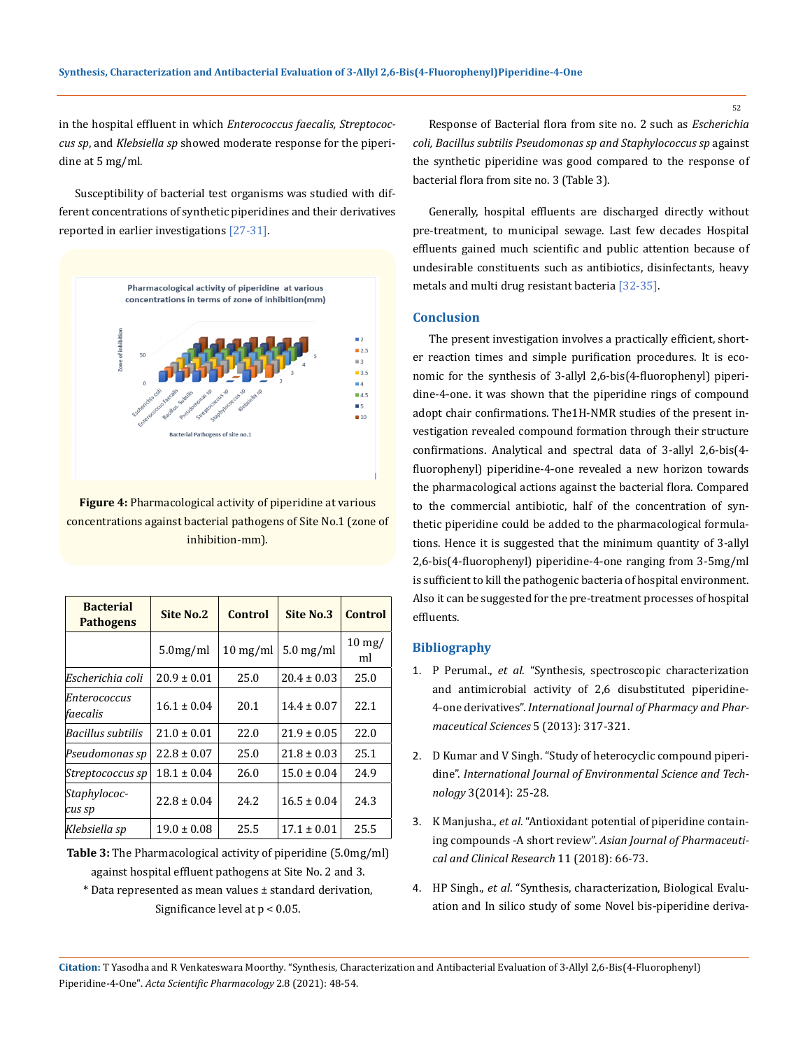in the hospital effluent in which *Enterococcus faecalis, Streptococcus sp*, and *Klebsiella sp* showed moderate response for the piperidine at 5 mg/ml.

Susceptibility of bacterial test organisms was studied with different concentrations of synthetic piperidines and their derivatives reported in earlier investigations [27-31].



**Figure 4:** Pharmacological activity of piperidine at various concentrations against bacterial pathogens of Site No.1 (zone of inhibition-mm).

| <b>Bacterial</b><br><b>Pathogens</b> | <b>Site No.2</b> | Control    | Site No.3       | Control                 |
|--------------------------------------|------------------|------------|-----------------|-------------------------|
|                                      | $5.0$ mg/ml      | $10$ mg/ml | $5.0$ mg/ml     | $10 \text{ mg}$ /<br>ml |
| Escherichia coli                     | $20.9 \pm 0.01$  | 25.0       | $20.4 \pm 0.03$ | 25.0                    |
| Enterococcus<br>faecalis             | $16.1 \pm 0.04$  | 20.1       | $14.4 \pm 0.07$ | 22.1                    |
| Bacillus subtilis                    | $21.0 \pm 0.01$  | 22.0       | $21.9 \pm 0.05$ | 22.0                    |
| Pseudomonas sp                       | $22.8 \pm 0.07$  | 25.0       | $21.8 \pm 0.03$ | 25.1                    |
| Streptococcus sp                     | $18.1 \pm 0.04$  | 26.0       | $15.0 \pm 0.04$ | 24.9                    |
| Staphylococ-<br>cus sp               | $22.8 \pm 0.04$  | 24.2       | $16.5 \pm 0.04$ | 24.3                    |
| Klebsiella sp                        | $19.0 \pm 0.08$  | 25.5       | $17.1 \pm 0.01$ | 25.5                    |

**Table 3:** The Pharmacological activity of piperidine (5.0mg/ml) against hospital effluent pathogens at Site No. 2 and 3.

\* Data represented as mean values ± standard derivation, Significance level at p < 0.05.

Response of Bacterial flora from site no. 2 such as *Escherichia coli, Bacillus subtilis Pseudomonas sp and Staphylococcus sp* against the synthetic piperidine was good compared to the response of bacterial flora from site no. 3 (Table 3).

Generally, hospital effluents are discharged directly without pre-treatment, to municipal sewage. Last few decades Hospital effluents gained much scientific and public attention because of undesirable constituents such as antibiotics, disinfectants, heavy metals and multi drug resistant bacteria [32-35].

### **Conclusion**

The present investigation involves a practically efficient, shorter reaction times and simple purification procedures. It is economic for the synthesis of 3-allyl 2,6-bis(4-fluorophenyl) piperidine-4-one. it was shown that the piperidine rings of compound adopt chair confirmations. The1H-NMR studies of the present investigation revealed compound formation through their structure confirmations. Analytical and spectral data of 3-allyl 2,6-bis(4 fluorophenyl) piperidine-4-one revealed a new horizon towards the pharmacological actions against the bacterial flora. Compared to the commercial antibiotic, half of the concentration of synthetic piperidine could be added to the pharmacological formulations. Hence it is suggested that the minimum quantity of 3-allyl 2,6-bis(4-fluorophenyl) piperidine-4-one ranging from 3-5mg/ml is sufficient to kill the pathogenic bacteria of hospital environment. Also it can be suggested for the pre-treatment processes of hospital effluents.

### **Bibliography**

- 1. P Perumal., *et al*[. "Synthesis, spectroscopic characterization](https://www.researchgate.net/publication/288126462_Synthesis_spectroscopic_characterization_and_antimicrobial_activity_of_26_di-substituted_piperidine-4-one_derivatives)  [and antimicrobial activity of 2,6 disubstituted piperidine-](https://www.researchgate.net/publication/288126462_Synthesis_spectroscopic_characterization_and_antimicrobial_activity_of_26_di-substituted_piperidine-4-one_derivatives)4-one derivatives". *[International Journal of Pharmacy and Phar](https://www.researchgate.net/publication/288126462_Synthesis_spectroscopic_characterization_and_antimicrobial_activity_of_26_di-substituted_piperidine-4-one_derivatives)[maceutical Sciences](https://www.researchgate.net/publication/288126462_Synthesis_spectroscopic_characterization_and_antimicrobial_activity_of_26_di-substituted_piperidine-4-one_derivatives)* 5 (2013): 317-321.
- 2. [D Kumar and V Singh. "Study of heterocyclic compound piperi](https://www.semanticscholar.org/paper/STUDY-OF-HETEROCYCLIC-COMPOUND-PIPERIDINE-Kumar-Singh/3a6c3425fc5b30172fef549b8690e1aea9dee61e)dine". *[International Journal of Environmental Science and Tech](https://www.semanticscholar.org/paper/STUDY-OF-HETEROCYCLIC-COMPOUND-PIPERIDINE-Kumar-Singh/3a6c3425fc5b30172fef549b8690e1aea9dee61e)nology* [3\(2014\): 25-28.](https://www.semanticscholar.org/paper/STUDY-OF-HETEROCYCLIC-COMPOUND-PIPERIDINE-Kumar-Singh/3a6c3425fc5b30172fef549b8690e1aea9dee61e)
- 3. K Manjusha., *et al*. "Antioxidant potential of piperidine containing compounds -A short review". *Asian Journal of Pharmaceutical and Clinical Research* 11 (2018): 66-73.
- 4. HP Singh., *et al*[. "Synthesis, characterization, Biological Evalu](https://www.researchgate.net/publication/261171316_Synthesis_characterization_Biological_Evaluation_and_In_silico_study_of_some_Novel_bis-piperidine_derivatives)[ation and In silico study of some Novel bis-piperidine deriva-](https://www.researchgate.net/publication/261171316_Synthesis_characterization_Biological_Evaluation_and_In_silico_study_of_some_Novel_bis-piperidine_derivatives)

**Citation:** T Yasodha and R Venkateswara Moorthy*.* "Synthesis, Characterization and Antibacterial Evaluation of 3-Allyl 2,6-Bis(4-Fluorophenyl) Piperidine-4-One". *Acta Scientific Pharmacology* 2.8 (2021): 48-54.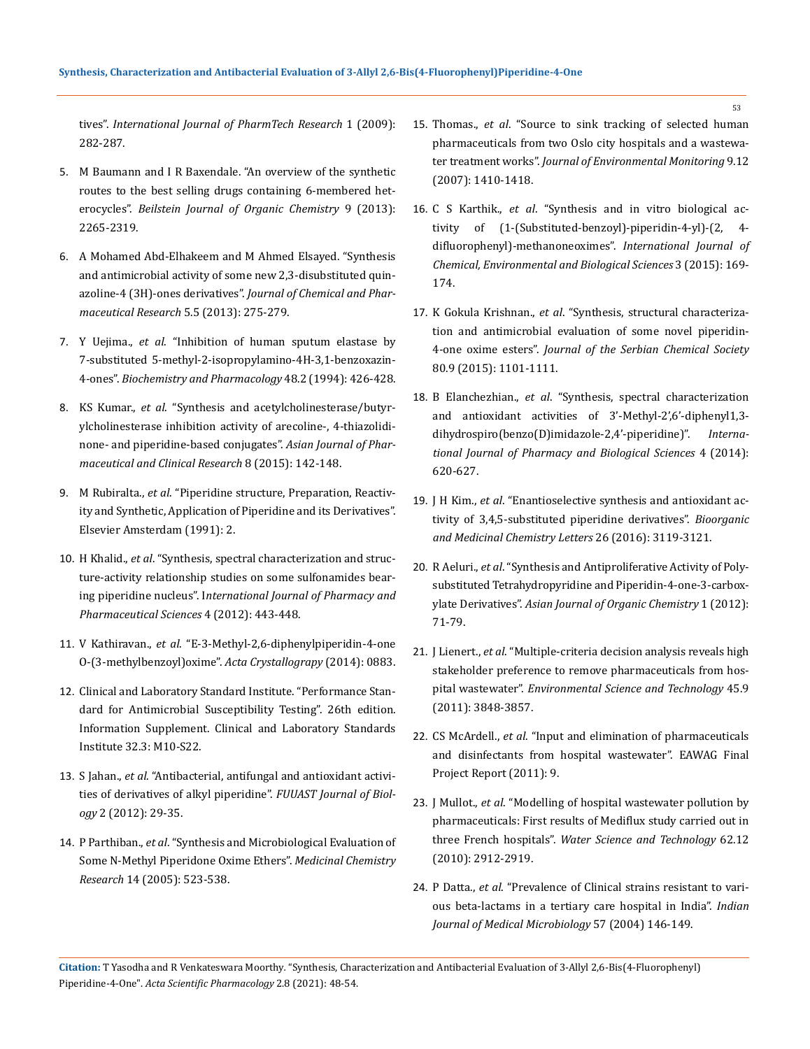tives". *[International Journal of PharmTech Research](https://www.researchgate.net/publication/261171316_Synthesis_characterization_Biological_Evaluation_and_In_silico_study_of_some_Novel_bis-piperidine_derivatives)* 1 (2009): [282-287.](https://www.researchgate.net/publication/261171316_Synthesis_characterization_Biological_Evaluation_and_In_silico_study_of_some_Novel_bis-piperidine_derivatives)

- 5. [M Baumann and I R Baxendale. "An overview of the synthetic](https://www.beilstein-journals.org/bjoc/articles/9/265)  [routes to the best selling drugs containing 6-membered het](https://www.beilstein-journals.org/bjoc/articles/9/265)erocycles". *[Beilstein Journal of Organic Chemistry](https://www.beilstein-journals.org/bjoc/articles/9/265)* 9 (2013): [2265-2319.](https://www.beilstein-journals.org/bjoc/articles/9/265)
- 6. [A Mohamed Abd-Elhakeem and M Ahmed Elsayed. "Synthesis](https://www.tandfonline.com/doi/full/10.1080/13880200802315907)  [and antimicrobial activity of some new 2,3-disubstituted quin](https://www.tandfonline.com/doi/full/10.1080/13880200802315907)azoline-4 (3H)-ones derivatives". *[Journal of Chemical and Phar](https://www.tandfonline.com/doi/full/10.1080/13880200802315907)[maceutical Research](https://www.tandfonline.com/doi/full/10.1080/13880200802315907)* 5.5 (2013): 275-279.
- 7. Y Uejima., *et al*[. "Inhibition of human sputum elastase by](https://pubmed.ncbi.nlm.nih.gov/8053939/)  [7-substituted 5-methyl-2-isopropylamino-4H-3,1-benzoxazin-](https://pubmed.ncbi.nlm.nih.gov/8053939/)4-ones". *[Biochemistry and Pharmacology](https://pubmed.ncbi.nlm.nih.gov/8053939/)* 48.2 (1994): 426-428.
- 8. KS Kumar., *et al*[. "Synthesis and acetylcholinesterase/butyr](https://www.researchgate.net/publication/271424302_Synthesis_and_acetylcholinesterasebutyrylcholinesterase_inhibition_activity_of_arecoline-_4-thiazolidinone-_and_piperidine-_based_conjugates)[ylcholinesterase inhibition activity of arecoline-, 4-thiazolidi](https://www.researchgate.net/publication/271424302_Synthesis_and_acetylcholinesterasebutyrylcholinesterase_inhibition_activity_of_arecoline-_4-thiazolidinone-_and_piperidine-_based_conjugates)[none- and piperidine-based conjugates".](https://www.researchgate.net/publication/271424302_Synthesis_and_acetylcholinesterasebutyrylcholinesterase_inhibition_activity_of_arecoline-_4-thiazolidinone-_and_piperidine-_based_conjugates) *Asian Journal of Phar[maceutical and Clinical Research](https://www.researchgate.net/publication/271424302_Synthesis_and_acetylcholinesterasebutyrylcholinesterase_inhibition_activity_of_arecoline-_4-thiazolidinone-_and_piperidine-_based_conjugates)* 8 (2015): 142-148.
- 9. M Rubiralta., *et al*. "Piperidine structure, Preparation, Reactivity and Synthetic, Application of Piperidine and its Derivatives". Elsevier Amsterdam (1991): 2.
- 10. H Khalid., *et al*[. "Synthesis, spectral characterization and struc](https://www.researchgate.net/publication/230647183_SYNTHESIS_SPECTRAL_CHARACTERIZATION_AND_STRUCTURE-ACTIVITY_RELATIONSHIP_STUDIES_ON_SOME_SULFONAMIDES_BEARING_PIPERIDINE_NUCLEUS)[ture-activity relationship studies on some sulfonamides bear](https://www.researchgate.net/publication/230647183_SYNTHESIS_SPECTRAL_CHARACTERIZATION_AND_STRUCTURE-ACTIVITY_RELATIONSHIP_STUDIES_ON_SOME_SULFONAMIDES_BEARING_PIPERIDINE_NUCLEUS)ing piperidine nucleus". I*[nternational Journal of Pharmacy and](https://www.researchgate.net/publication/230647183_SYNTHESIS_SPECTRAL_CHARACTERIZATION_AND_STRUCTURE-ACTIVITY_RELATIONSHIP_STUDIES_ON_SOME_SULFONAMIDES_BEARING_PIPERIDINE_NUCLEUS)  [Pharmaceutical Sciences](https://www.researchgate.net/publication/230647183_SYNTHESIS_SPECTRAL_CHARACTERIZATION_AND_STRUCTURE-ACTIVITY_RELATIONSHIP_STUDIES_ON_SOME_SULFONAMIDES_BEARING_PIPERIDINE_NUCLEUS)* 4 (2012): 443-448.
- 11. V Kathiravan., *et al*[. "E-3-Methyl-2,6-diphenylpiperidin-4-one](https://www.researchgate.net/publication/266086916_E-3-Methyl-26-di-phenyl-piperidin-4-one_O-3-methyl-benzo-yloxime)  [O-\(3-methylbenzoyl\)oxime".](https://www.researchgate.net/publication/266086916_E-3-Methyl-26-di-phenyl-piperidin-4-one_O-3-methyl-benzo-yloxime) *Acta Crystallograpy* (2014): 0883.
- 12. Clinical and Laboratory Standard Institute. "Performance Standard for Antimicrobial Susceptibility Testing". 26th edition. Information Supplement. Clinical and Laboratory Standards Institute 32.3: M10-S22.
- 13. S Jahan., *et al*[. "Antibacterial, antifungal and antioxidant activi](https://agris.fao.org/agris-search/search.do?recordID=PK2012001290)[ties of derivatives of alkyl piperidine".](https://agris.fao.org/agris-search/search.do?recordID=PK2012001290) *FUUAST Journal of Biology* [2 \(2012\): 29-35.](https://agris.fao.org/agris-search/search.do?recordID=PK2012001290)
- 14. P Parthiban., *et al*[. "Synthesis and Microbiological Evaluation of](https://link.springer.com/article/10.1007/s00044-006-0153-2)  [Some N-Methyl Piperidone Oxime Ethers".](https://link.springer.com/article/10.1007/s00044-006-0153-2) *Medicinal Chemistry Research* [14 \(2005\): 523-538.](https://link.springer.com/article/10.1007/s00044-006-0153-2)
- 15. Thomas., *et al*[. "Source to sink tracking of selected human](https://pubmed.ncbi.nlm.nih.gov/18049781/)  [pharmaceuticals from two Oslo city hospitals and a wastewa](https://pubmed.ncbi.nlm.nih.gov/18049781/)ter treatment works". *[Journal of Environmental Monitoring](https://pubmed.ncbi.nlm.nih.gov/18049781/)* 9.12 [\(2007\): 1410-1418.](https://pubmed.ncbi.nlm.nih.gov/18049781/)
- 16. C S Karthik., *et al*[. "Synthesis and in vitro biological ac](https://www.researchgate.net/publication/306321363_Synthesis_and_In_Vitro_Biological_Activity_of_1-Substituted-benzoyl-piperidin-4-yl-24-difluoro-phenyl-methanone_Oximes)[tivity of \(1-\(Substituted-benzoyl\)-piperidin-4-yl\)-\(2, 4](https://www.researchgate.net/publication/306321363_Synthesis_and_In_Vitro_Biological_Activity_of_1-Substituted-benzoyl-piperidin-4-yl-24-difluoro-phenyl-methanone_Oximes)  [difluorophenyl\)-methanoneoximes".](https://www.researchgate.net/publication/306321363_Synthesis_and_In_Vitro_Biological_Activity_of_1-Substituted-benzoyl-piperidin-4-yl-24-difluoro-phenyl-methanone_Oximes) *International Journal of [Chemical, Environmental and Biological Sciences](https://www.researchgate.net/publication/306321363_Synthesis_and_In_Vitro_Biological_Activity_of_1-Substituted-benzoyl-piperidin-4-yl-24-difluoro-phenyl-methanone_Oximes)* 3 (2015): 169- [174.](https://www.researchgate.net/publication/306321363_Synthesis_and_In_Vitro_Biological_Activity_of_1-Substituted-benzoyl-piperidin-4-yl-24-difluoro-phenyl-methanone_Oximes)
- 17. K Gokula Krishnan., *et al*[. "Synthesis, structural characteriza](https://doaj.org/article/701ea62f851849109f4d8f0897dca2d7)[tion and antimicrobial evaluation of some novel piperidin-](https://doaj.org/article/701ea62f851849109f4d8f0897dca2d7)4-one oxime esters". *[Journal of the Serbian Chemical Society](https://doaj.org/article/701ea62f851849109f4d8f0897dca2d7)* [80.9 \(2015\): 1101-1111.](https://doaj.org/article/701ea62f851849109f4d8f0897dca2d7)
- 18. B Elanchezhian., *et al*[. "Synthesis, spectral characterization](https://www.ijpcbs.com/abstract/synthesis-spectral-characterization-and-antioxidant-activities-of3methyl26diphenyl13dihydrospirobenzodimidazole24piperid-77532.html)  [and antioxidant activities of 3'-Methyl-2',6'-diphenyl1,3](https://www.ijpcbs.com/abstract/synthesis-spectral-characterization-and-antioxidant-activities-of3methyl26diphenyl13dihydrospirobenzodimidazole24piperid-77532.html) [dihydrospiro\(benzo\(D\)imidazole-2,4'-piperidine\)".](https://www.ijpcbs.com/abstract/synthesis-spectral-characterization-and-antioxidant-activities-of3methyl26diphenyl13dihydrospirobenzodimidazole24piperid-77532.html) *Interna[tional Journal of Pharmacy and Biological Sciences](https://www.ijpcbs.com/abstract/synthesis-spectral-characterization-and-antioxidant-activities-of3methyl26diphenyl13dihydrospirobenzodimidazole24piperid-77532.html)* 4 (2014): [620-627.](https://www.ijpcbs.com/abstract/synthesis-spectral-characterization-and-antioxidant-activities-of3methyl26diphenyl13dihydrospirobenzodimidazole24piperid-77532.html)
- 19. J H Kim., *et al*[. "Enantioselective synthesis and antioxidant ac](https://www.sciencedirect.com/science/article/abs/pii/S0960894X16304802)[tivity of 3,4,5-substituted piperidine derivatives".](https://www.sciencedirect.com/science/article/abs/pii/S0960894X16304802) *Bioorganic [and Medicinal Chemistry Letters](https://www.sciencedirect.com/science/article/abs/pii/S0960894X16304802)* 26 (2016): 3119-3121.
- 20. R Aeluri., *et al*[. "Synthesis and Antiproliferative Activity of Poly](https://onlinelibrary.wiley.com/doi/abs/10.1002/ajoc.201200010)[substituted Tetrahydropyridine and Piperidin-4-one-3-carbox](https://onlinelibrary.wiley.com/doi/abs/10.1002/ajoc.201200010)ylate Derivatives". *[Asian Journal of Organic Chemistry](https://onlinelibrary.wiley.com/doi/abs/10.1002/ajoc.201200010)* 1 (2012): [71-79.](https://onlinelibrary.wiley.com/doi/abs/10.1002/ajoc.201200010)
- 21. J Lienert., *et al*[. "Multiple-criteria decision analysis reveals high](https://pubs.acs.org/doi/abs/10.1021/es1031294)  [stakeholder preference to remove pharmaceuticals from hos](https://pubs.acs.org/doi/abs/10.1021/es1031294)pital wastewater". *[Environmental Science and Technology](https://pubs.acs.org/doi/abs/10.1021/es1031294)* 45.9 [\(2011\): 3848-3857.](https://pubs.acs.org/doi/abs/10.1021/es1031294)
- 22. CS McArdell., *et al*. "Input and elimination of pharmaceuticals and disinfectants from hospital wastewater". EAWAG Final Project Report (2011): 9.
- 23. J Mullot., *et al*[. "Modelling of hospital wastewater pollution by](https://pubmed.ncbi.nlm.nih.gov/21123922/)  [pharmaceuticals: First results of Mediflux study carried out in](https://pubmed.ncbi.nlm.nih.gov/21123922/)  three French hospitals". *[Water Science and Technology](https://pubmed.ncbi.nlm.nih.gov/21123922/)* 62.12 [\(2010\): 2912-2919.](https://pubmed.ncbi.nlm.nih.gov/21123922/)
- 24. P Datta., *et al*. "Prevalence of Clinical strains resistant to various beta-lactams in a tertiary care hospital in India". *Indian Journal of Medical Microbiology* 57 (2004) 146-149.

**Citation:** T Yasodha and R Venkateswara Moorthy*.* "Synthesis, Characterization and Antibacterial Evaluation of 3-Allyl 2,6-Bis(4-Fluorophenyl) Piperidine-4-One". *Acta Scientific Pharmacology* 2.8 (2021): 48-54.